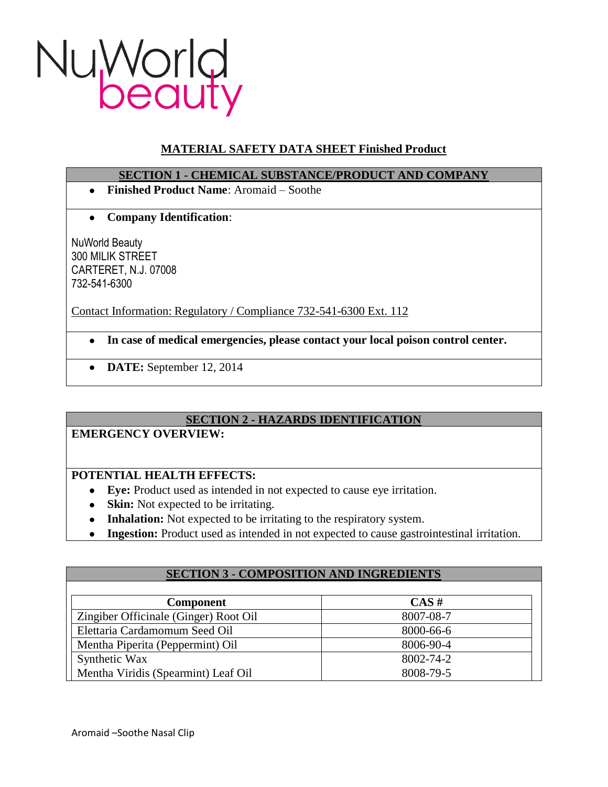

# **MATERIAL SAFETY DATA SHEET Finished Product**

### **SECTION 1 - CHEMICAL SUBSTANCE/PRODUCT AND COMPANY**

- **Finished Product Name**: Aromaid Soothe
- **Company Identification**:  $\bullet$

NuWorld Beauty 300 MILIK STREET CARTERET, N.J. 07008 732-541-6300

Contact Information: Regulatory / Compliance 732-541-6300 Ext. 112

- **In case of medical emergencies, please contact your local poison control center.**
- **DATE:** September 12, 2014

# **SECTION 2 - HAZARDS IDENTIFICATION**

### **EMERGENCY OVERVIEW:**

# **POTENTIAL HEALTH EFFECTS:**

- **Eye:** Product used as intended in not expected to cause eye irritation.
- **Skin:** Not expected to be irritating.
- **Inhalation:** Not expected to be irritating to the respiratory system.
- **Ingestion:** Product used as intended in not expected to cause gastrointestinal irritation.

| <b>SECTION 3 - COMPOSITION AND INGREDIENTS</b> |           |
|------------------------------------------------|-----------|
|                                                |           |
| <b>Component</b>                               | $CAS \#$  |
| Zingiber Officinale (Ginger) Root Oil          | 8007-08-7 |
| Elettaria Cardamomum Seed Oil                  | 8000-66-6 |
| Mentha Piperita (Peppermint) Oil               | 8006-90-4 |
| Synthetic Wax                                  | 8002-74-2 |
| Mentha Viridis (Spearmint) Leaf Oil            | 8008-79-5 |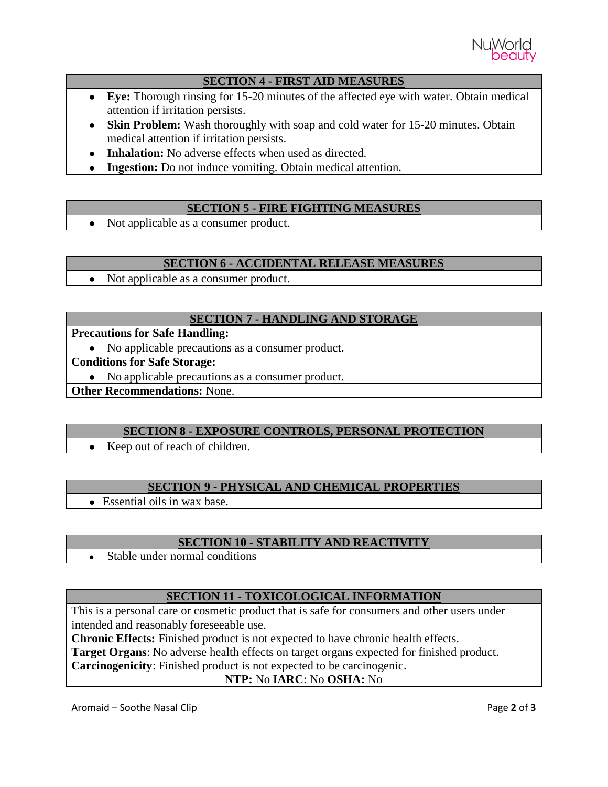

## **SECTION 4 - FIRST AID MEASURES**

- **Eye:** Thorough rinsing for 15-20 minutes of the affected eye with water. Obtain medical attention if irritation persists.
- **Skin Problem:** Wash thoroughly with soap and cold water for 15-20 minutes. Obtain medical attention if irritation persists.
- **Inhalation:** No adverse effects when used as directed.
- **Ingestion:** Do not induce vomiting. Obtain medical attention.

## **SECTION 5 - FIRE FIGHTING MEASURES**

• Not applicable as a consumer product.

### **SECTION 6 - ACCIDENTAL RELEASE MEASURES**

Not applicable as a consumer product.  $\bullet$ 

## **SECTION 7 - HANDLING AND STORAGE**

## **Precautions for Safe Handling:**

• No applicable precautions as a consumer product.

## **Conditions for Safe Storage:**

No applicable precautions as a consumer product.

**Other Recommendations:** None.

### **SECTION 8 - EXPOSURE CONTROLS, PERSONAL PROTECTION**

• Keep out of reach of children.

# **SECTION 9 - PHYSICAL AND CHEMICAL PROPERTIES**

• Essential oils in wax base.

# **SECTION 10 - STABILITY AND REACTIVITY**

Stable under normal conditions  $\bullet$ 

# **SECTION 11 - TOXICOLOGICAL INFORMATION**

This is a personal care or cosmetic product that is safe for consumers and other users under intended and reasonably foreseeable use.

**Chronic Effects:** Finished product is not expected to have chronic health effects.

**Target Organs**: No adverse health effects on target organs expected for finished product.

**Carcinogenicity**: Finished product is not expected to be carcinogenic.

### **NTP:** No **IARC**: No **OSHA:** No

Aromaid – Soothe Nasal Clip **Page 2** of **3**